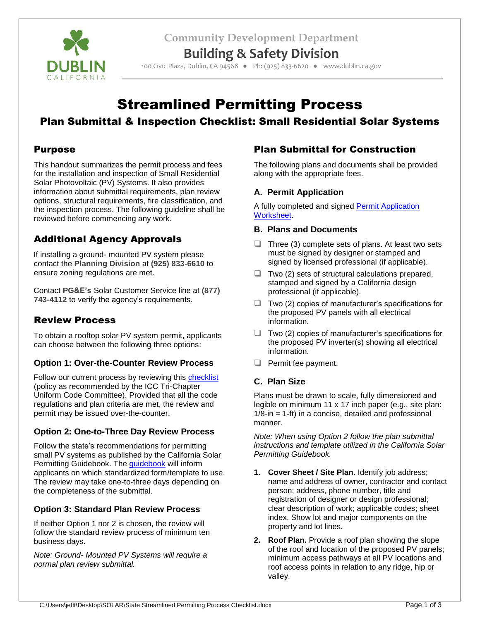**Community Development Department**



**Building & Safety Division**

100 Civic Plaza, Dublin, CA 94568 ● Ph: (925) 833-6620 ● www.dublin.ca.gov

# Streamlined Permitting Process

# Plan Submittal & Inspection Checklist: Small Residential Solar Systems

### Purpose

This handout summarizes the permit process and fees for the installation and inspection of Small Residential Solar Photovoltaic (PV) Systems. It also provides information about submittal requirements, plan review options, structural requirements, fire classification, and the inspection process. The following guideline shall be reviewed before commencing any work.

# Additional Agency Approvals

If installing a ground- mounted PV system please contact the **Planning Division** at **(925) 833-6610** to ensure zoning regulations are met.

Contact **PG&E's** Solar Customer Service line at **(877) 743-4112** to verify the agency's requirements.

# Review Process

To obtain a rooftop solar PV system permit, applicants can choose between the following three options:

#### **Option 1: Over-the-Counter Review Process**

Follow our current process by reviewing this [checklist](http://ca-dublin2.civicplus.com/DocumentCenter/Home/View/74) (policy as recommended by the ICC Tri-Chapter Uniform Code Committee). Provided that all the code regulations and plan criteria are met, the review and permit may be issued over-the-counter.

#### **Option 2: One-to-Three Day Review Process**

Follow the state's recommendations for permitting small PV systems as published by the California Solar Permitting Guidebook. The [guidebook](https://energycenter.org/permitting/guidebook) will inform applicants on which standardized form/template to use. The review may take one-to-three days depending on the completeness of the submittal.

#### **Option 3: Standard Plan Review Process**

If neither Option 1 nor 2 is chosen, the review will follow the standard review process of minimum ten business days.

*Note: Ground- Mounted PV Systems will require a normal plan review submittal.*

## Plan Submittal for Construction

The following plans and documents shall be provided along with the appropriate fees.

#### **A. Permit Application**

A fully completed and signed [Permit Application](http://www.ci.dublin.ca.us/586/Building-Permits)  [Worksheet.](http://www.ci.dublin.ca.us/586/Building-Permits)

#### **B. Plans and Documents**

- $\Box$  Three (3) complete sets of plans. At least two sets must be signed by designer or stamped and signed by licensed professional (if applicable).
- $\Box$  Two (2) sets of structural calculations prepared, stamped and signed by a California design professional (if applicable).
- $\Box$  Two (2) copies of manufacturer's specifications for the proposed PV panels with all electrical information.
- $\Box$  Two (2) copies of manufacturer's specifications for the proposed PV inverter(s) showing all electrical information.
- $\Box$  Permit fee payment.

#### **C. Plan Size**

Plans must be drawn to scale, fully dimensioned and legible on minimum 11 x 17 inch paper (e.g., site plan: 1/8-in = 1-ft) in a concise, detailed and professional manner.

*Note: When using Option 2 follow the plan submittal instructions and template utilized in the California Solar Permitting Guidebook.* 

- **1. Cover Sheet / Site Plan.** Identify job address; name and address of owner, contractor and contact person; address, phone number, title and registration of designer or design professional; clear description of work; applicable codes; sheet index. Show lot and major components on the property and lot lines.
- **2. Roof Plan.** Provide a roof plan showing the slope of the roof and location of the proposed PV panels; minimum access pathways at all PV locations and roof access points in relation to any ridge, hip or valley.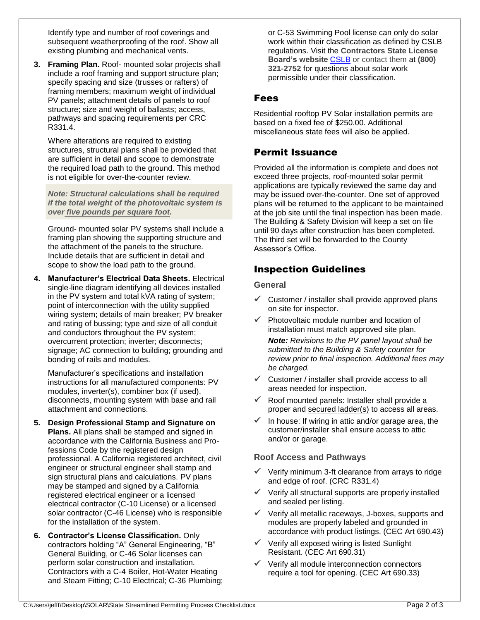Identify type and number of roof coverings and subsequent weatherproofing of the roof. Show all existing plumbing and mechanical vents.

**3. Framing Plan.** Roof- mounted solar projects shall include a roof framing and support structure plan; specify spacing and size (trusses or rafters) of framing members; maximum weight of individual PV panels; attachment details of panels to roof structure; size and weight of ballasts; access, pathways and spacing requirements per CRC R331.4.

Where alterations are required to existing structures, structural plans shall be provided that are sufficient in detail and scope to demonstrate the required load path to the ground. This method is not eligible for over-the-counter review.

*Note: Structural calculations shall be required if the total weight of the photovoltaic system is over five pounds per square foot.*

Ground- mounted solar PV systems shall include a framing plan showing the supporting structure and the attachment of the panels to the structure. Include details that are sufficient in detail and scope to show the load path to the ground.

**4. Manufacturer's Electrical Data Sheets.** Electrical single-line diagram identifying all devices installed in the PV system and total kVA rating of system; point of interconnection with the utility supplied wiring system; details of main breaker; PV breaker and rating of bussing; type and size of all conduit and conductors throughout the PV system; overcurrent protection; inverter; disconnects; signage; AC connection to building; grounding and bonding of rails and modules.

Manufacturer's specifications and installation instructions for all manufactured components: PV modules, inverter(s), combiner box (if used), disconnects, mounting system with base and rail attachment and connections.

- **5. Design Professional Stamp and Signature on Plans.** All plans shall be stamped and signed in accordance with the California Business and Professions Code by the registered design professional. A California registered architect, civil engineer or structural engineer shall stamp and sign structural plans and calculations. PV plans may be stamped and signed by a California registered electrical engineer or a licensed electrical contractor (C-10 License) or a licensed solar contractor (C-46 License) who is responsible for the installation of the system.
- **6. Contractor's License Classification.** Only contractors holding "A" General Engineering, "B" General Building, or C-46 Solar licenses can perform solar construction and installation. Contractors with a C-4 Boiler, Hot-Water Heating and Steam Fitting; C-10 Electrical; C-36 Plumbing;

or C-53 Swimming Pool license can only do solar work within their classification as defined by CSLB regulations. Visit the **Contractors State License Board's website** [CSLB](http://www.cslb.ca.gov/) or contact them at **(800) 321-2752** for questions about solar work permissible under their classification.

### Fees

Residential rooftop PV Solar installation permits are based on a fixed fee of \$250.00. Additional miscellaneous state fees will also be applied.

# Permit Issuance

Provided all the information is complete and does not exceed three projects, roof-mounted solar permit applications are typically reviewed the same day and may be issued over-the-counter. One set of approved plans will be returned to the applicant to be maintained at the job site until the final inspection has been made. The Building & Safety Division will keep a set on file until 90 days after construction has been completed. The third set will be forwarded to the County Assessor's Office.

# Inspection Guidelines

#### **General**

- $\checkmark$  Customer / installer shall provide approved plans on site for inspector.
- $\checkmark$  Photovoltaic module number and location of installation must match approved site plan.

*Note: Revisions to the PV panel layout shall be submitted to the Building & Safety counter for review prior to final inspection. Additional fees may be charged.*

- $\checkmark$  Customer / installer shall provide access to all areas needed for inspection.
- $\checkmark$  Roof mounted panels: Installer shall provide a proper and secured ladder(s) to access all areas.
- In house: If wiring in attic and/or garage area, the customer/installer shall ensure access to attic and/or or garage.

#### **Roof Access and Pathways**

- $\checkmark$  Verify minimum 3-ft clearance from arrays to ridge and edge of roof. (CRC R331.4)
- $\checkmark$  Verify all structural supports are properly installed and sealed per listing.
- $\checkmark$  Verify all metallic raceways, J-boxes, supports and modules are properly labeled and grounded in accordance with product listings. (CEC Art 690.43)
- $\checkmark$  Verify all exposed wiring is listed Sunlight Resistant. (CEC Art 690.31)
- Verify all module interconnection connectors require a tool for opening. (CEC Art 690.33)